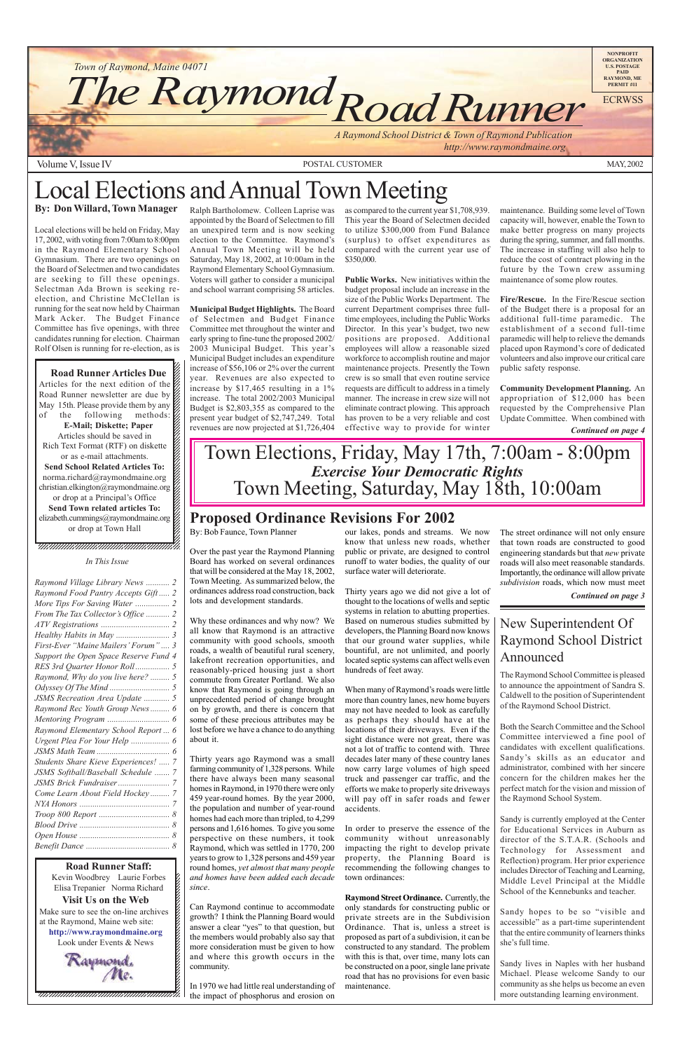Make sure to see the on-line archives  $\boldsymbol{\ell}$ 12345678901234567890123456789012123456789012345678 at the Raymond, Maine web site: 12345678901234567890123456789012123456789012345678 **http://www.raymondmaine.org** Look under Events  $&$  News 12345678901234567890123456789012123456789012345678

 $\blacksquare$ 12345678901234567890123456789012123456789012345678 12345678901234567890123456789012123456789012345678 12345678901234567890123456789012123456789012345678



Volume V, Issue IV MAY, 2002

12345678901234567890123456789012345678901234567890123456789012345678901234567890123456789012345678901234567890 Kevin Woodbrey Laurie Forbes  $\boldsymbol{\xi}$  $123$ Elisa Trepanier Norma Richard [6]  $\blacksquare$ **Visit Us on the Web** 12345678901234567890123456789012123456789012345678 **Road Runner Staff:**



# Local Elections and Annual Town Meeting **By: Don Willard, Town Manager**

Local elections will be held on Friday, May 17, 2002, with voting from 7:00am to 8:00pm in the Raymond Elementary School Gymnasium. There are two openings on the Board of Selectmen and two candidates are seeking to fill these openings. Selectman Ada Brown is seeking reelection, and Christine McClellan is running for the seat now held by Chairman Mark Acker. The Budget Finance Committee has five openings, with three candidates running for election. Chairman Rolf Olsen is running for re-election, as is

12345678901234567890123456789012345678901234567890123456789012345678901234567890123456789012345678901234567890 12345678901234567890123456789012123456789012345678  $1235678901234567890123456789012345678901234567890123456789012345678901234567890123456789012345678901234567890123456789012345678901234567890123456789012345678901234567890123456789012345678901234567890123456789012345678901$ 

**Road Runner Articles Due**  $1235678901234567890123456789012345678901234567890123456789012345678901234567890123456789012345678901234567890123456789012345678901234567890123456789012345678901234567890123456789012345678901234567890123456789012345678901$ Articles for the next edition of the  $\%$ Road Runner newsletter are due by  $\mathbb Z$ May 15th. Please provide them by any  $\mathscr{L}$ of the following methods: **E-Mail; Diskette; Paper** 12345678901234567890123456789012123456789012345678 Articles should be saved in  $\mathscr{L}$ Rich Text Format (RTF) on diskette  $1235678901234567890123456789012345678901234567890123456789012345678901234567890123456789012345678901234567890123456789012345678901234567890123456789012345678901234567890123456789012345678901234567890123456789012345678901$ or as e-mail attachments.  $\mathscr{L}$ **Send School Related Articles To:**  $1235678901234587890123456789012345678901234567890123456789012345678901234567890123456789012345678901234567890123456789012345678901234567890123456789012345678901234567890123456789012345678901234567890123456789012345678901$ norma.richard@raymondmaine.org 12345678901234567890123456789012123456789012345678 christian.elkington@raymondmaine.org  $\%$ or drop at a Principal's Office  $\mathscr{L}$ 12345678901234567890123456789012123456789012345678 **Send Town related articles To:** elizabeth.cummings@raymondmaine.org 12345678901234567890123456789012123456789012345678 or drop at Town Hall  $\mathscr{L}$  $1235678901234567890123456789012345678901234567890123456789012345678901234567890123456789012345678901234567890123456789012345678901234567890123456789012345678901234567890123456789012345678901234567890123456789012345678901$  Ralph Bartholomew. Colleen Laprise was appointed by the Board of Selectmen to fill an unexpired term and is now seeking election to the Committee. Raymond's Annual Town Meeting will be held Saturday, May 18, 2002, at 10:00am in the Raymond Elementary School Gymnasium. Voters will gather to consider a municipal and school warrant comprising 58 articles.

**Municipal Budget Highlights.** The Board of Selectmen and Budget Finance Committee met throughout the winter and early spring to fine-tune the proposed 2002/ 2003 Municipal Budget. This year's Municipal Budget includes an expenditure increase of \$56,106 or 2% over the current year. Revenues are also expected to increase by \$17,465 resulting in a 1% increase. The total 2002/2003 Municipal Budget is \$2,803,355 as compared to the present year budget of \$2,747,249. Total revenues are now projected at \$1,726,404

as compared to the current year \$1,708,939. This year the Board of Selectmen decided to utilize \$300,000 from Fund Balance (surplus) to offset expenditures as compared with the current year use of \$350,000.

**Public Works.** New initiatives within the budget proposal include an increase in the size of the Public Works Department. The current Department comprises three fulltime employees, including the Public Works Director. In this year's budget, two new positions are proposed. Additional employees will allow a reasonable sized workforce to accomplish routine and major maintenance projects. Presently the Town crew is so small that even routine service requests are difficult to address in a timely manner. The increase in crew size will not eliminate contract plowing. This approach has proven to be a very reliable and cost effective way to provide for winter

# **Proposed Ordinance Revisions For 2002**

By: Bob Faunce, Town Planner

Over the past year the Raymond Planning Board has worked on several ordinances that will be considered at the May 18, 2002, Town Meeting. As summarized below, the ordinances address road construction, back lots and development standards.

Why these ordinances and why now? We all know that Raymond is an attractive community with good schools, smooth roads, a wealth of beautiful rural scenery, lakefront recreation opportunities, and reasonably-priced housing just a short commute from Greater Portland. We also know that Raymond is going through an unprecedented period of change brought on by growth, and there is concern that some of these precious attributes may be lost before we have a chance to do anything about it.

#### 12345678901234567890123456789012123456789012345678 1 8 12345678901234567890123456789012123456789012345678 *In This Issue*

 $1235678901234567890123456789012345678901234567890123456789012345678901234567890123456789012345678901234567890123456789012345678901234567890123456789012345678901234567890123456789012345678901234567890123456789012345678901$  $1235678901234567890123456789012345678901234567890123456789012345678901234567890123456789012345678901234567890123456789012345678901234567890123456789012345678901234567890123456789012345678901234567890123456789012345678901$ 

> Thirty years ago Raymond was a small farming community of 1,328 persons. While there have always been many seasonal homes in Raymond, in 1970 there were only 459 year-round homes. By the year 2000, the population and number of year-round homes had each more than tripled, to 4,299 persons and 1,616 homes. To give you some perspective on these numbers, it took Raymond, which was settled in 1770, 200 years to grow to 1,328 persons and 459 year round homes, *yet almost that many people and homes have been added each decade since*.

> Can Raymond continue to accommodate growth? I think the Planning Board would answer a clear "yes" to that question, but the members would probably also say that more consideration must be given to how and where this growth occurs in the community.

In 1970 we had little real understanding of the impact of phosphorus and erosion on

our lakes, ponds and streams. We now know that unless new roads, whether public or private, are designed to control runoff to water bodies, the quality of our surface water will deteriorate.

Thirty years ago we did not give a lot of thought to the locations of wells and septic systems in relation to abutting properties. Based on numerous studies submitted by developers, the Planning Board now knows that our ground water supplies, while bountiful, are not unlimited, and poorly located septic systems can affect wells even hundreds of feet away.

When many of Raymond's roads were little more than country lanes, new home buyers may not have needed to look as carefully as perhaps they should have at the locations of their driveways. Even if the sight distance were not great, there was not a lot of traffic to contend with. Three decades later many of these country lanes now carry large volumes of high speed truck and passenger car traffic, and the efforts we make to properly site driveways will pay off in safer roads and fewer accidents.

In order to preserve the essence of the community without unreasonably impacting the right to develop private property, the Planning Board is recommending the following changes to town ordinances:

**Raymond Street Ordinance.** Currently, the

only standards for constructing public or private streets are in the Subdivision Ordinance. That is, unless a street is proposed as part of a subdivision, it can be constructed to any standard. The problem with this is that, over time, many lots can be constructed on a poor, single lane private road that has no provisions for even basic maintenance.

maintenance. Building some level of Town capacity will, however, enable the Town to make better progress on many projects during the spring, summer, and fall months. The increase in staffing will also help to reduce the cost of contract plowing in the future by the Town crew assuming maintenance of some plow routes.

**Fire/Rescue.** In the Fire/Rescue section of the Budget there is a proposal for an additional full-time paramedic. The establishment of a second full-time paramedic will help to relieve the demands placed upon Raymond's core of dedicated volunteers and also improve our critical care public safety response.

**Community Development Planning.** An appropriation of \$12,000 has been requested by the Comprehensive Plan Update Committee. When combined with

*Continued on page 4*

*Continued on page 3*

| Raymond Village Library News  2       |  |
|---------------------------------------|--|
| Raymond Food Pantry Accepts Gift 2    |  |
|                                       |  |
| From The Tax Collector's Office  2    |  |
|                                       |  |
|                                       |  |
| First-Ever "Maine Mailers' Forum" 3   |  |
| Support the Open Space Reserve Fund 4 |  |
|                                       |  |
| Raymond, Why do you live here?  5     |  |
|                                       |  |
| JSMS Recreation Area Update  5        |  |
| Raymond Rec Youth Group News 6        |  |
|                                       |  |
| Raymond Elementary School Report  6   |  |
|                                       |  |
|                                       |  |
| Students Share Kieve Experiences!  7  |  |

| JSMS Softball/Baseball Schedule  7 |
|------------------------------------|
|                                    |
| Come Learn About Field Hockey 7    |
|                                    |
|                                    |
|                                    |
|                                    |
|                                    |

The street ordinance will not only ensure that town roads are constructed to good engineering standards but that *new* private roads will also meet reasonable standards. Importantly, the ordinance will allow private *subdivision* roads, which now must meet

### New Superintendent Of Raymond School District Announced

The Raymond School Committee is pleased to announce the appointment of Sandra S. Caldwell to the position of Superintendent of the Raymond School District.

Both the Search Committee and the School Committee interviewed a fine pool of candidates with excellent qualifications. Sandy's skills as an educator and administrator, combined with her sincere

concern for the children makes her the perfect match for the vision and mission of the Raymond School System.

Sandy is currently employed at the Center for Educational Services in Auburn as director of the S.T.A.R. (Schools and Technology for Assessment and Reflection) program. Her prior experience includes Director of Teaching and Learning, Middle Level Principal at the Middle School of the Kennebunks and teacher.

Sandy hopes to be so "visible and accessible" as a part-time superintendent that the entire community of learners thinks she's full time.

Sandy lives in Naples with her husband Michael. Please welcome Sandy to our community as she helps us become an even more outstanding learning environment.

# Town Elections, Friday, May 17th, 7:00am - 8:00pm *Exercise Your Democratic Rights* Town Meeting, Saturday, May 18th, 10:00am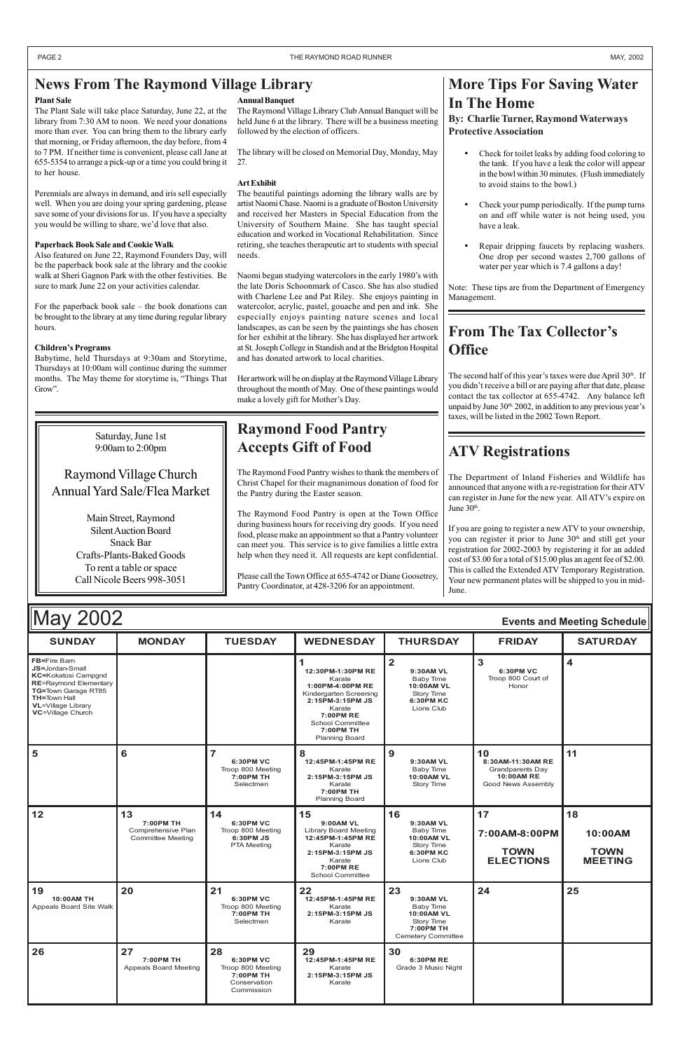| <b>May 2002</b><br><b>Events and Meeting Schedule</b>                                                                                                                                                       |               |                |                                                                                                                                                                                       |                                                                               |                                          |                 |
|-------------------------------------------------------------------------------------------------------------------------------------------------------------------------------------------------------------|---------------|----------------|---------------------------------------------------------------------------------------------------------------------------------------------------------------------------------------|-------------------------------------------------------------------------------|------------------------------------------|-----------------|
| <b>SUNDAY</b>                                                                                                                                                                                               | <b>MONDAY</b> | <b>TUESDAY</b> | <b>WEDNESDAY</b>                                                                                                                                                                      | <b>THURSDAY</b>                                                               | <b>FRIDAY</b>                            | <b>SATURDAY</b> |
| <b>FB=Fire Bam</b><br><b>JS=Jordan-Small</b><br><b>KC=Kokatosi Campgnd</b><br><b>RE=Raymond Elementary</b><br>TG=Town Garage RT85<br><b>TH=Town Hall</b><br><b>VL</b> =Village Library<br>VC=Village Church |               |                | 12:30PM-1:30PM RE<br>Karate<br>1:00PM-4:00PM RE<br>Kindergarten Screening<br>2:15PM-3:15PM JS<br>Karate<br><b>7:00PM RE</b><br>School Committee<br>7:00PM TH<br><b>Planning Board</b> | 9:30AM VL<br>Baby Time<br>10:00AM VL<br>Story Time<br>6:30PM KC<br>Lions Club | 6:30PM VC<br>Troop 800 Court of<br>Honor |                 |
| 5                                                                                                                                                                                                           | 6             | 6:30PM VC      | 8<br>12:45PM-1:45PM RE                                                                                                                                                                | 9<br>9:30AM VL                                                                | 10<br>8:30AM-11:30AM RE                  |                 |

|                                             |                                                                   | Troop 800 Meeting<br>7:00PM TH<br>Selectmen                                     | Karate<br>2:15PM-3:15PM JS<br>Karate<br>7:00PM TH<br><b>Planning Board</b>                                                                    | <b>Baby Time</b><br><b>10:00AM VL</b><br>Story Time                                                       | Grandparents Day<br><b>10:00AM RE</b><br>Good News Assembly |                                                |
|---------------------------------------------|-------------------------------------------------------------------|---------------------------------------------------------------------------------|-----------------------------------------------------------------------------------------------------------------------------------------------|-----------------------------------------------------------------------------------------------------------|-------------------------------------------------------------|------------------------------------------------|
| 12                                          | 13<br>7:00PM TH<br>Comprehensive Plan<br><b>Committee Meeting</b> | 14<br>6:30PM VC<br>Troop 800 Meeting<br>6:30PM JS<br><b>PTA Meeting</b>         | 15<br>9:00AM VL<br>Library Board Meeting<br>12:45PM-1:45PM RE<br>Karate<br>2:15PM-3:15PM JS<br>Karate<br>7:00PM RE<br><b>School Committee</b> | 16<br>9:30AM VL<br>Baby Time<br>10:00AM VL<br>Story Time<br><b>6:30PM KC</b><br>Lions Club                | 17<br>7:00AM-8:00PM<br><b>TOWN</b><br><b>ELECTIONS</b>      | 18<br>10:00AM<br><b>TOWN</b><br><b>MEETING</b> |
| 19<br>10:00AM TH<br>Appeals Board Site Walk | 20                                                                | 21<br>6:30PM VC<br>Troop 800 Meeting<br>7:00PM TH<br>Selectmen                  | 22<br>12:45PM-1:45PM RE<br>Karate<br>2:15PM-3:15PM JS<br>Karate                                                                               | 23<br>9:30AM VL<br>Baby Time<br><b>10:00AM VL</b><br>Story Time<br>7:00PM TH<br><b>Cemetery Committee</b> | 24                                                          | 25                                             |
| 26                                          | 27<br>7:00PM TH<br>Appeals Board Meeting                          | 28<br>6:30PM VC<br>Troop 800 Meeting<br>7:00PM TH<br>Conservation<br>Commission | 29<br>12:45PM-1:45PM RE<br>Karate<br>2:15PM-3:15PM JS<br>Karate                                                                               | 30<br>6:30PM RE<br>Grade 3 Music Night                                                                    |                                                             |                                                |

Babytime, held Thursdays at 9:30am and Storytime, Thursdays at 10:00am will continue during the summer months. The May theme for storytime is, "Things That Grow".

> The Department of Inland Fisheries and Wildlife has announced that anyone with a re-registration for their ATV can register in June for the new year. All ATV's expire on June 30<sup>th</sup>.

### **News From The Raymond Village Library**

#### **Plant Sale**

The Plant Sale will take place Saturday, June 22, at the library from 7:30 AM to noon. We need your donations more than ever. You can bring them to the library early that morning, or Friday afternoon, the day before, from 4 to 7 PM. If neither time is convenient, please call Jane at 655-5354 to arrange a pick-up or a time you could bring it to her house.

Perennials are always in demand, and iris sell especially well. When you are doing your spring gardening, please save some of your divisions for us. If you have a specialty you would be willing to share, we'd love that also.

- Check for toilet leaks by adding food coloring to the tank. If you have a leak the color will appear in the bowl within 30 minutes. (Flush immediately to avoid stains to the bowl.)
- Check your pump periodically. If the pump turns on and off while water is not being used, you have a leak.
- Repair dripping faucets by replacing washers. One drop per second wastes 2,700 gallons of water per year which is 7.4 gallons a day!

#### **Paperback Book Sale and Cookie Walk**

Also featured on June 22, Raymond Founders Day, will be the paperback book sale at the library and the cookie walk at Sheri Gagnon Park with the other festivities. Be sure to mark June 22 on your activities calendar.

> The second half of this year's taxes were due April  $30<sup>th</sup>$ . If you didn't receive a bill or are paying after that date, please contact the tax collector at 655-4742. Any balance left unpaid by June  $30<sup>th</sup>$ ,  $2002$ , in addition to any previous year's taxes, will be listed in the 2002 Town Report.

For the paperback book sale – the book donations can be brought to the library at any time during regular library hours.

#### **Children's Programs**

# **ATV Registrations**

If you are going to register a new ATV to your ownership, you can register it prior to June 30<sup>th</sup> and still get your registration for 2002-2003 by registering it for an added cost of \$3.00 for a total of \$15.00 plus an agent fee of \$2.00. This is called the Extended ATV Temporary Registration. Your new permanent plates will be shipped to you in mid-June.

### **Raymond Food Pantry Accepts Gift of Food**

The Raymond Food Pantry wishes to thank the members of Christ Chapel for their magnanimous donation of food for the Pantry during the Easter season.

The Raymond Food Pantry is open at the Town Office during business hours for receiving dry goods. If you need food, please make an appointment so that a Pantry volunteer can meet you. This service is to give families a little extra help when they need it. All requests are kept confidential.

Please call the Town Office at 655-4742 or Diane Goosetrey, Pantry Coordinator, at 428-3206 for an appointment.

# **More Tips For Saving Water In The Home**

### **By: Charlie Turner, Raymond Waterways Protective Association**

Note: These tips are from the Department of Emergency Management.

# **From The Tax Collector's Office**

Saturday, June 1st 9:00am to 2:00pm

### Raymond Village Church Annual Yard Sale/Flea Market

Main Street, Raymond Silent Auction Board Snack Bar Crafts-Plants-Baked Goods To rent a table or space Call Nicole Beers 998-3051

#### **Annual Banquet**

The Raymond Village Library Club Annual Banquet will be held June 6 at the library. There will be a business meeting followed by the election of officers.

The library will be closed on Memorial Day, Monday, May 27.

#### **Art Exhibit**

The beautiful paintings adorning the library walls are by artist Naomi Chase. Naomi is a graduate of Boston University and received her Masters in Special Education from the University of Southern Maine. She has taught special education and worked in Vocational Rehabilitation. Since retiring, she teaches therapeutic art to students with special needs.

Naomi began studying watercolors in the early 1980's with the late Doris Schoonmark of Casco. She has also studied with Charlene Lee and Pat Riley. She enjoys painting in watercolor, acrylic, pastel, gouache and pen and ink. She especially enjoys painting nature scenes and local landscapes, as can be seen by the paintings she has chosen for her exhibit at the library. She has displayed her artwork at St. Joseph College in Standish and at the Bridgton Hospital and has donated artwork to local charities.

Her artwork will be on display at the Raymond Village Library throughout the month of May. One of these paintings would make a lovely gift for Mother's Day.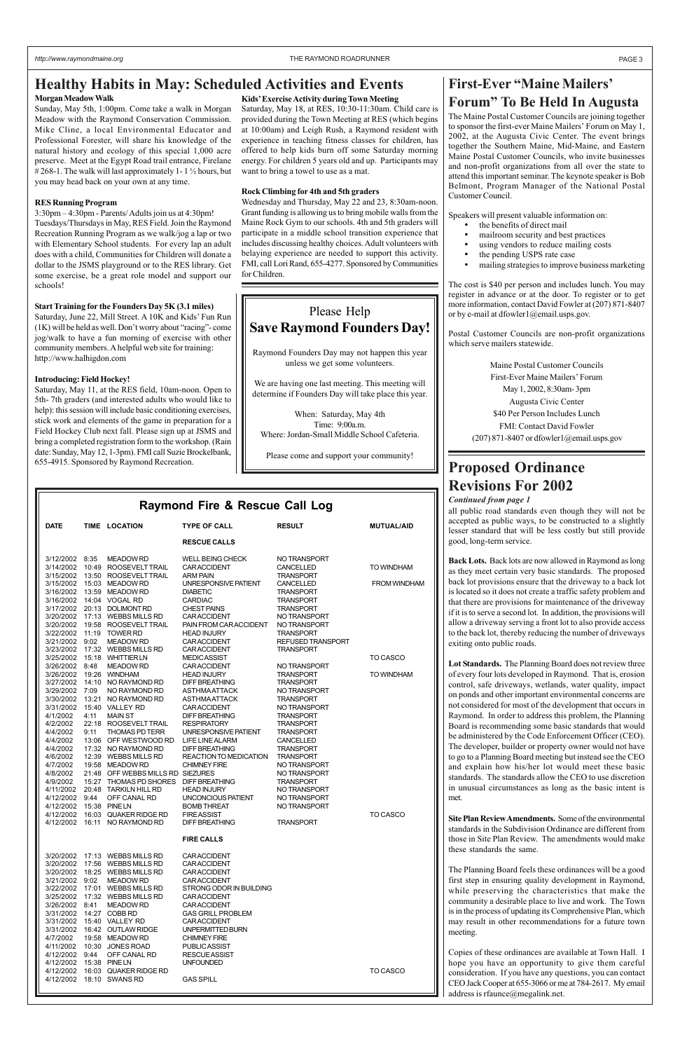**Raymond Fire & Rescue Call Log**

### **First-Ever "Maine Mailers' Forum" To Be Held In Augusta**

The Maine Postal Customer Councils are joining together to sponsor the first-ever Maine Mailers' Forum on May 1, 2002, at the Augusta Civic Center. The event brings together the Southern Maine, Mid-Maine, and Eastern Maine Postal Customer Councils, who invite businesses and non-profit organizations from all over the state to attend this important seminar. The keynote speaker is Bob Belmont, Program Manager of the National Postal Customer Council.

Speakers will present valuable information on:

- the benefits of direct mail
- mailroom security and best practices
- using vendors to reduce mailing costs
- the pending USPS rate case
- mailing strategies to improve business marketing

The cost is \$40 per person and includes lunch. You may register in advance or at the door. To register or to get more information, contact David Fowler at (207) 871-8407 or by e-mail at dfowler1@email.usps.gov.

Postal Customer Councils are non-profit organizations which serve mailers statewide.

> Maine Postal Customer Councils First-Ever Maine Mailers' Forum May 1, 2002, 8:30am- 3pm Augusta Civic Center \$40 Per Person Includes Lunch FMI: Contact David Fowler (207) 871-8407 or dfowler1@email.usps.gov

# **Healthy Habits in May: Scheduled Activities and Events**

#### **Morgan Meadow Walk**

Sunday, May 5th, 1:00pm. Come take a walk in Morgan Meadow with the Raymond Conservation Commission. Mike Cline, a local Environmental Educator and Professional Forester, will share his knowledge of the natural history and ecology of this special 1,000 acre preserve. Meet at the Egypt Road trail entrance, Firelane # 268-1. The walk will last approximately 1-1 $\frac{1}{2}$  hours, but you may head back on your own at any time.

#### **RES Running Program**

| <b>DATE</b>                              |      | TIME LOCATION                                                    | <b>TYPE OF CALL</b>                           | <b>RESULT</b>                        | <b>MUTUAL/AID</b> | an public foad standards even mough they will not be<br>accepted as public ways, to be constructed to a slightly<br>lesser standard that will be less costly but still provide |
|------------------------------------------|------|------------------------------------------------------------------|-----------------------------------------------|--------------------------------------|-------------------|--------------------------------------------------------------------------------------------------------------------------------------------------------------------------------|
|                                          |      |                                                                  | <b>RESCUE CALLS</b>                           |                                      |                   | good, long-term service.                                                                                                                                                       |
| 3/12/2002 8:35                           |      | <b>MEADOW RD</b>                                                 | <b>WELL BEING CHECK</b>                       | NO TRANSPORT                         |                   | Back Lots. Back lots are now allowed in Raymond as long                                                                                                                        |
|                                          |      | 3/14/2002  10:49  ROOSEVELT TRAIL                                | <b>CARACCIDENT</b><br><b>ARM PAIN</b>         | CANCELLED<br><b>TRANSPORT</b>        | TO WINDHAM        | as they meet certain very basic standards. The proposed                                                                                                                        |
|                                          |      | 3/15/2002  13:50  ROOSEVELT TRAIL<br>3/15/2002 15:03 MEADOW RD   | UNRESPONSIVE PATIENT                          | CANCELLED                            | FROM WINDHAM      | back lot provisions ensure that the driveway to a back lot                                                                                                                     |
|                                          |      | 3/16/2002 13:59 MEADOW RD                                        | <b>DIABETIC</b>                               | <b>TRANSPORT</b>                     |                   | is located so it does not create a traffic safety problem and                                                                                                                  |
|                                          |      | 3/16/2002 14:04 VOGAL RD                                         | CARDIAC                                       | <b>TRANSPORT</b>                     |                   | that there are provisions for maintenance of the driveway                                                                                                                      |
|                                          |      | 3/17/2002 20:13 DOLIMONT RD<br>3/20/2002 17:13 WEBBS MILLS RD    | <b>CHEST PAINS</b><br>CARACCIDENT             | <b>TRANSPORT</b><br>NO TRANSPORT     |                   | if it is to serve a second lot. In addition, the provisions will                                                                                                               |
|                                          |      | 3/20/2002 19:58 ROOSEVELT TRAIL                                  | PAIN FROM CAR ACCIDENT                        | NO TRANSPORT                         |                   | allow a driveway serving a front lot to also provide access                                                                                                                    |
|                                          |      | 3/22/2002 11:19 TOWER RD                                         | <b>HEAD INJURY</b>                            | <b>TRANSPORT</b>                     |                   | to the back lot, thereby reducing the number of driveways                                                                                                                      |
| 3/21/2002 9:02                           |      | <b>MEADOW RD</b>                                                 | CARACCIDENT                                   | <b>REFUSED TRANSPORT</b>             |                   | exiting onto public roads.                                                                                                                                                     |
|                                          |      | 3/23/2002 17:32 WEBBS MILLS RD<br>3/25/2002 15:18 WHITTIER LN    | <b>CARACCIDENT</b><br><b>MEDICASSIST</b>      | <b>TRANSPORT</b>                     | TO CASCO          |                                                                                                                                                                                |
| 3/26/2002 8:48                           |      | <b>MEADOW RD</b>                                                 | <b>CARACCIDENT</b>                            | NO TRANSPORT                         |                   | Lot Standards. The Planning Board does not review three                                                                                                                        |
| 3/26/2002 19:26 WINDHAM                  |      |                                                                  | <b>HEAD INJURY</b>                            | <b>TRANSPORT</b>                     | TO WINDHAM        | of every four lots developed in Raymond. That is, erosion                                                                                                                      |
| 3/29/2002 7:09                           |      | 3/27/2002 14:10 NO RAYMOND RD<br>NO RAYMOND RD                   | <b>DIFF BREATHING</b><br><b>ASTHMAATTACK</b>  | <b>TRANSPORT</b><br>NO TRANSPORT     |                   | control, safe driveways, wetlands, water quality, impact                                                                                                                       |
|                                          |      | 3/30/2002 13:21 NO RAYMOND RD                                    | <b>ASTHMAATTACK</b>                           | <b>TRANSPORT</b>                     |                   | on ponds and other important environmental concerns are                                                                                                                        |
|                                          |      | 3/31/2002 15:40 VALLEY RD                                        | <b>CARACCIDENT</b>                            | NO TRANSPORT                         |                   | not considered for most of the development that occurs in                                                                                                                      |
| 4/1/2002                                 | 4:11 | <b>MAIN ST</b>                                                   | <b>DIFF BREATHING</b>                         | <b>TRANSPORT</b>                     |                   | Raymond. In order to address this problem, the Planning                                                                                                                        |
| 4/2/2002<br>4/4/2002                     | 9:11 | 22:18 ROOSEVELT TRAIL<br>THOMAS PD TERR                          | <b>RESPIRATORY</b><br>UNRESPONSIVE PATIENT    | <b>TRANSPORT</b><br><b>TRANSPORT</b> |                   | Board is recommending some basic standards that would                                                                                                                          |
| 4/4/2002                                 |      | 13:06 OFF WESTWOOD RD                                            | <b>LIFE LINE ALARM</b>                        | CANCELLED                            |                   | be administered by the Code Enforcement Officer (CEO).                                                                                                                         |
| 4/4/2002                                 |      | 17:32 NO RAYMOND RD                                              | <b>DIFF BREATHING</b>                         | <b>TRANSPORT</b>                     |                   | The developer, builder or property owner would not have                                                                                                                        |
| 4/6/2002<br>4/7/2002                     |      | 12:39 WEBBS MILLS RD<br>19:58 MEADOW RD                          | REACTION TO MEDICATION<br><b>CHIMNEY FIRE</b> | <b>TRANSPORT</b><br>NO TRANSPORT     |                   | to go to a Planning Board meeting but instead see the CEO                                                                                                                      |
| 4/8/2002                                 |      | 21:48 OFF WEBBS MILLS RD SIEZURES                                |                                               | NO TRANSPORT                         |                   | and explain how his/her lot would meet these basic                                                                                                                             |
| 4/9/2002                                 |      | 15:27 THOMAS PD SHORES DIFF BREATHING                            |                                               | <b>TRANSPORT</b>                     |                   | standards. The standards allow the CEO to use discretion                                                                                                                       |
| 4/11/2002                                |      | 20:48 TARKILN HILL RD                                            | <b>HEAD INJURY</b>                            | NO TRANSPORT                         |                   | in unusual circumstances as long as the basic intent is                                                                                                                        |
| 4/12/2002 9:44<br>4/12/2002 15:38 PINELN |      | OFF CANAL RD                                                     | UNCONCIOUS PATIENT<br><b>BOMB THREAT</b>      | NO TRANSPORT<br>NO TRANSPORT         |                   | met.                                                                                                                                                                           |
|                                          |      | 4/12/2002 16:03 QUAKER RIDGE RD                                  | <b>FIREASSIST</b>                             |                                      | TO CASCO          | Site Plan Review Amendments. Some of the environmental                                                                                                                         |
|                                          |      | 4/12/2002 16:11 NO RAYMOND RD                                    | <b>DIFF BREATHING</b>                         | <b>TRANSPORT</b>                     |                   | standards in the Subdivision Ordinance are different from                                                                                                                      |
|                                          |      |                                                                  | <b>FIRE CALLS</b>                             |                                      |                   | those in Site Plan Review. The amendments would make                                                                                                                           |
|                                          |      |                                                                  |                                               |                                      |                   | these standards the same.                                                                                                                                                      |
|                                          |      | 3/20/2002 17:13 WEBBS MILLS RD<br>3/20/2002 17:56 WEBBS MILLS RD | <b>CARACCIDENT</b><br><b>CARACCIDENT</b>      |                                      |                   |                                                                                                                                                                                |
|                                          |      | 3/20/2002 18:25 WEBBS MILLS RD                                   | <b>CARACCIDENT</b>                            |                                      |                   | The Planning Board feels these ordinances will be a good                                                                                                                       |
| 3/21/2002 9:02                           |      | <b>MEADOW RD</b>                                                 | <b>CARACCIDENT</b>                            |                                      |                   | first step in ensuring quality development in Raymond,                                                                                                                         |
|                                          |      | 3/22/2002 17:01 WEBBS MILLS RD<br>3/25/2002 17:32 WEBBS MILLS RD | STRONG ODOR IN BUILDING<br>CARACCIDENT        |                                      |                   | while preserving the characteristics that make the                                                                                                                             |
|                                          |      | 3/26/2002 8:41 MEADOW RD                                         | <b>CARACCIDENT</b>                            |                                      |                   | community a desirable place to live and work. The Town                                                                                                                         |
| 3/31/2002 14:27 COBB RD                  |      |                                                                  | <b>GAS GRILL PROBLEM</b>                      |                                      |                   | is in the process of updating its Comprehensive Plan, which                                                                                                                    |
|                                          |      | 3/31/2002 15:40 VALLEY RD                                        | <b>CARACCIDENT</b>                            |                                      |                   | may result in other recommendations for a future town                                                                                                                          |
| 4/7/2002                                 |      | 3/31/2002 16:42 OUTLAW RIDGE<br>19:58 MEADOW RD                  | UNPERMITTED BURN<br><b>CHIMNEY FIRE</b>       |                                      |                   | meeting.                                                                                                                                                                       |
|                                          |      | 4/11/2002 10:30 JONES ROAD                                       | <b>PUBLICASSIST</b>                           |                                      |                   |                                                                                                                                                                                |
|                                          |      | 4/12/2002 9:44 OFF CANAL RD                                      | <b>RESCUEASSIST</b>                           |                                      |                   | Copies of these ordinances are available at Town Hall. I                                                                                                                       |
| 4/12/2002 15:38 PINELN                   |      | 4/12/2002 16:03 QUAKER RIDGE RD                                  | <b>UNFOUNDED</b>                              |                                      | TO CASCO          | hope you have an opportunity to give them careful                                                                                                                              |
|                                          |      | 4/12/2002 18:10 SWANS RD                                         | <b>GAS SPILL</b>                              |                                      |                   | consideration. If you have any questions, you can contact                                                                                                                      |
|                                          |      |                                                                  |                                               |                                      |                   | CEO Jack Cooper at 655-3066 or me at 784-2617. My email                                                                                                                        |
|                                          |      |                                                                  |                                               |                                      |                   | address is rfaunce $@$ megalink.net.                                                                                                                                           |

3:30pm – 4:30pm - Parents/ Adults join us at 4:30pm! Tuesdays/Thursdays in May, RES Field. Join the Raymond Recreation Running Program as we walk/jog a lap or two with Elementary School students. For every lap an adult does with a child, Communities for Children will donate a dollar to the JSMS playground or to the RES library. Get some exercise, be a great role model and support our schools!

#### **Start Training for the Founders Day 5K (3.1 miles)**

Saturday, June 22, Mill Street. A 10K and Kids' Fun Run (1K) will be held as well. Don't worry about "racing"- come jog/walk to have a fun morning of exercise with other community members. A helpful web site for training: http://www.halhigdon.com

#### **Introducing: Field Hockey!**

Saturday, May 11, at the RES field, 10am-noon. Open to 5th- 7th graders (and interested adults who would like to help): this session will include basic conditioning exercises, stick work and elements of the game in preparation for a Field Hockey Club next fall. Please sign up at JSMS and bring a completed registration form to the workshop. (Rain date: Sunday, May 12, 1-3pm). FMI call Suzie Brockelbank, 655-4915. Sponsored by Raymond Recreation.

#### **Kids' Exercise Activity during Town Meeting**

Saturday, May 18, at RES, 10:30-11:30am. Child care is provided during the Town Meeting at RES (which begins at 10:00am) and Leigh Rush, a Raymond resident with experience in teaching fitness classes for children, has offered to help kids burn off some Saturday morning energy. For children 5 years old and up. Participants may want to bring a towel to use as a mat.

#### **Rock Climbing for 4th and 5th graders**

Wednesday and Thursday, May 22 and 23, 8:30am-noon. Grant funding is allowing us to bring mobile walls from the Maine Rock Gym to our schools. 4th and 5th graders will participate in a middle school transition experience that includes discussing healthy choices. Adult volunteers with belaying experience are needed to support this activity. FMI, call Lori Rand, 655-4277. Sponsored by Communities for Children.

### Please Help **Save Raymond Founders Day!**

Raymond Founders Day may not happen this year unless we get some volunteers.

We are having one last meeting. This meeting will determine if Founders Day will take place this year.

When: Saturday, May 4th Time: 9:00a.m. Where: Jordan-Small Middle School Cafeteria.

Please come and support your community!

all public road standards even though they will not be

### **Proposed Ordinance Revisions For 2002**

#### *Continued from page 1*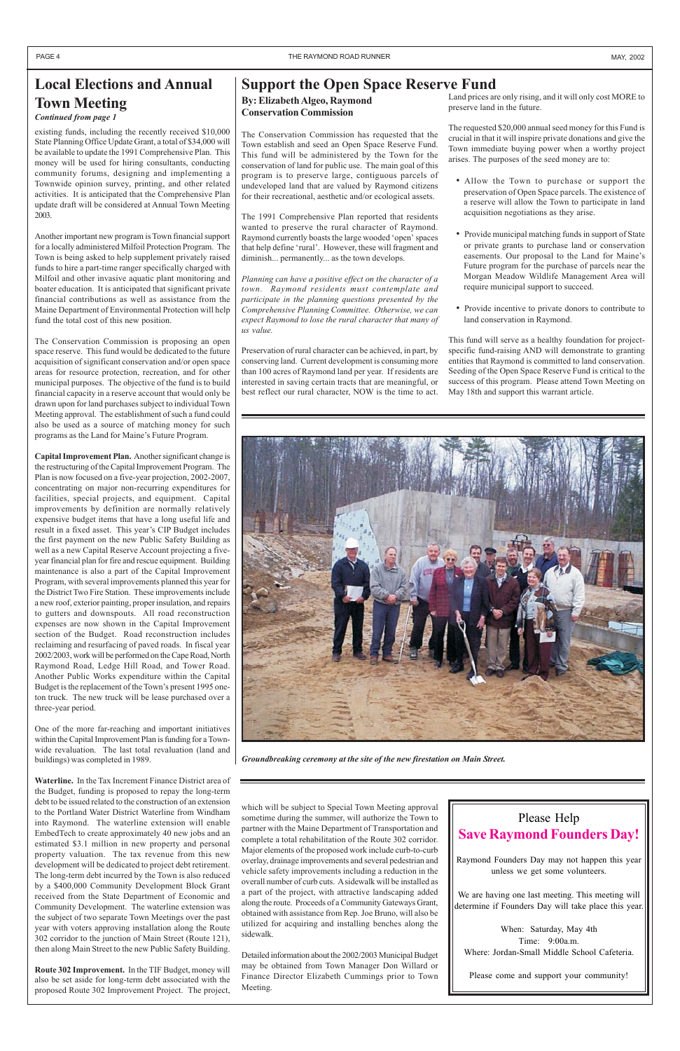### **Support the Open Space Reserve Fund**

**By: Elizabeth Algeo, Raymond Conservation Commission**

The Conservation Commission has requested that the Town establish and seed an Open Space Reserve Fund. This fund will be administered by the Town for the conservation of land for public use. The main goal of this program is to preserve large, contiguous parcels of undeveloped land that are valued by Raymond citizens for their recreational, aesthetic and/or ecological assets.

The 1991 Comprehensive Plan reported that residents wanted to preserve the rural character of Raymond. Raymond currently boasts the large wooded 'open' spaces that help define 'rural'. However, these will fragment and diminish... permanently... as the town develops.

*Planning can have a positive effect on the character of a town. Raymond residents must contemplate and participate in the planning questions presented by the Comprehensive Planning Committee. Otherwise, we can expect Raymond to lose the rural character that many of us value.*

Preservation of rural character can be achieved, in part, by conserving land. Current development is consuming more than 100 acres of Raymond land per year. If residents are interested in saving certain tracts that are meaningful, or best reflect our rural character, NOW is the time to act.

existing funds, including the recently received \$10,000 State Planning Office Update Grant, a total of \$34,000 will be available to update the 1991 Comprehensive Plan. This money will be used for hiring consultants, conducting community forums, designing and implementing a Townwide opinion survey, printing, and other related activities. It is anticipated that the Comprehensive Plan update draft will be considered at Annual Town Meeting 2003.

Another important new program is Town financial support for a locally administered Milfoil Protection Program. The Town is being asked to help supplement privately raised funds to hire a part-time ranger specifically charged with Milfoil and other invasive aquatic plant monitoring and boater education. It is anticipated that significant private financial contributions as well as assistance from the Maine Department of Environmental Protection will help fund the total cost of this new position.

The Conservation Commission is proposing an open space reserve. This fund would be dedicated to the future acquisition of significant conservation and/or open space areas for resource protection, recreation, and for other municipal purposes. The objective of the fund is to build financial capacity in a reserve account that would only be drawn upon for land purchases subject to individual Town Meeting approval. The establishment of such a fund could also be used as a source of matching money for such programs as the Land for Maine's Future Program.

**Capital Improvement Plan.** Another significant change is the restructuring of the Capital Improvement Program. The Plan is now focused on a five-year projection, 2002-2007, concentrating on major non-recurring expenditures for facilities, special projects, and equipment. Capital improvements by definition are normally relatively expensive budget items that have a long useful life and result in a fixed asset. This year's CIP Budget includes the first payment on the new Public Safety Building as well as a new Capital Reserve Account projecting a fiveyear financial plan for fire and rescue equipment. Building maintenance is also a part of the Capital Improvement Program, with several improvements planned this year for the District Two Fire Station. These improvements include a new roof, exterior painting, proper insulation, and repairs to gutters and downspouts. All road reconstruction expenses are now shown in the Capital Improvement section of the Budget. Road reconstruction includes reclaiming and resurfacing of paved roads. In fiscal year 2002/2003, work will be performed on the Cape Road, North Raymond Road, Ledge Hill Road, and Tower Road. Another Public Works expenditure within the Capital Budget is the replacement of the Town's present 1995 oneton truck. The new truck will be lease purchased over a three-year period.

One of the more far-reaching and important initiatives within the Capital Improvement Plan is funding for a Townwide revaluation. The last total revaluation (land and buildings) was completed in 1989.

**Waterline.** In the Tax Increment Finance District area of the Budget, funding is proposed to repay the long-term debt to be issued related to the construction of an extension to the Portland Water District Waterline from Windham into Raymond. The waterline extension will enable EmbedTech to create approximately 40 new jobs and an estimated \$3.1 million in new property and personal property valuation. The tax revenue from this new development will be dedicated to project debt retirement. The long-term debt incurred by the Town is also reduced by a \$400,000 Community Development Block Grant received from the State Department of Economic and Community Development. The waterline extension was the subject of two separate Town Meetings over the past year with voters approving installation along the Route 302 corridor to the junction of Main Street (Route 121), then along Main Street to the new Public Safety Building.

**Route 302 Improvement.** In the TIF Budget, money will also be set aside for long-term debt associated with the proposed Route 302 Improvement Project. The project, which will be subject to Special Town Meeting approval sometime during the summer, will authorize the Town to partner with the Maine Department of Transportation and complete a total rehabilitation of the Route 302 corridor. Major elements of the proposed work include curb-to-curb overlay, drainage improvements and several pedestrian and vehicle safety improvements including a reduction in the overall number of curb cuts. A sidewalk will be installed as a part of the project, with attractive landscaping added along the route. Proceeds of a Community Gateways Grant, obtained with assistance from Rep. Joe Bruno, will also be utilized for acquiring and installing benches along the sidewalk.

Detailed information about the 2002/2003 Municipal Budget may be obtained from Town Manager Don Willard or Finance Director Elizabeth Cummings prior to Town Meeting.

# **Local Elections and Annual Town Meeting**

*Continued from page 1*

Land prices are only rising, and it will only cost MORE to preserve land in the future.

The requested \$20,000 annual seed money for this Fund is crucial in that it will inspire private donations and give the Town immediate buying power when a worthy project arises. The purposes of the seed money are to:

- Allow the Town to purchase or support the preservation of Open Space parcels. The existence of a reserve will allow the Town to participate in land acquisition negotiations as they arise.
- Provide municipal matching funds in support of State or private grants to purchase land or conservation easements. Our proposal to the Land for Maine's Future program for the purchase of parcels near the Morgan Meadow Wildlife Management Area will require municipal support to succeed.
- Provide incentive to private donors to contribute to land conservation in Raymond.

This fund will serve as a healthy foundation for projectspecific fund-raising AND will demonstrate to granting entities that Raymond is committed to land conservation. Seeding of the Open Space Reserve Fund is critical to the success of this program. Please attend Town Meeting on May 18th and support this warrant article.

### Please Help **Save Raymond Founders Day!**

Raymond Founders Day may not happen this year unless we get some volunteers.

We are having one last meeting. This meeting will determine if Founders Day will take place this year.

When: Saturday, May 4th Time: 9:00a.m. Where: Jordan-Small Middle School Cafeteria.

Please come and support your community!



*Groundbreaking ceremony at the site of the new firestation on Main Street.*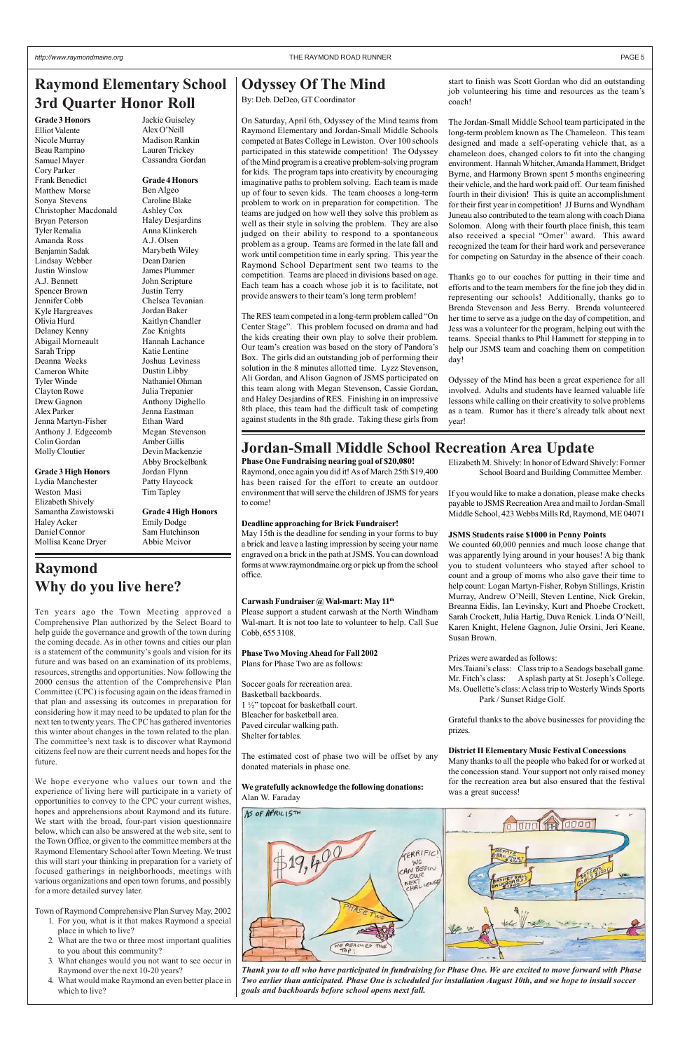# **Raymond Why do you live here?**

Ten years ago the Town Meeting approved a Comprehensive Plan authorized by the Select Board to help guide the governance and growth of the town during the coming decade. As in other towns and cities our plan is a statement of the community's goals and vision for its future and was based on an examination of its problems, resources, strengths and opportunities. Now following the 2000 census the attention of the Comprehensive Plan Committee (CPC) is focusing again on the ideas framed in that plan and assessing its outcomes in preparation for considering how it may need to be updated to plan for the next ten to twenty years. The CPC has gathered inventories this winter about changes in the town related to the plan. The committee's next task is to discover what Raymond citizens feel now are their current needs and hopes for the future.

# **Raymond Elementary School** | Odyssey Of The Mind **3rd Quarter Honor Roll**

We hope everyone who values our town and the experience of living here will participate in a variety of opportunities to convey to the CPC your current wishes, hopes and apprehensions about Raymond and its future. We start with the broad, four-part vision questionnaire below, which can also be answered at the web site, sent to the Town Office, or given to the committee members at the Raymond Elementary School after Town Meeting. We trust this will start your thinking in preparation for a variety of focused gatherings in neighborhoods, meetings with various organizations and open town forums, and possibly for a more detailed survey later.

Town of Raymond Comprehensive Plan Survey May, 2002

- 1. For you, what is it that makes Raymond a special place in which to live?
- 2. What are the two or three most important qualities to you about this community?
- 3. What changes would you not want to see occur in Raymond over the next 10-20 years?
- 4. What would make Raymond an even better place in which to live?

### **Jordan-Small Middle School Recreation Area Update**

**Grade 3 Honors** Elliot Valente Nicole Murray Beau Rampino Samuel Mayer Cory Parker Frank Benedict Matthew Morse Sonya Stevens Christopher Macdonald Bryan Peterson Tyler Remalia Amanda Ross Benjamin Sadak Lindsay Webber Justin Winslow A.J. Bennett Spencer Brown Jennifer Cobb Kyle Hargreaves Olivia Hurd Delaney Kenny Abigail Morneault Sarah Tripp Deanna Weeks Cameron White Tyler Winde Clayton Rowe Drew Gagnon Alex Parker Jenna Martyn-Fisher Anthony J. Edgecomb Colin Gordan Molly Cloutier

#### **Grade 3 High Honors**

Lydia Manchester Weston Masi Elizabeth Shively Samantha Zawistowski Haley Acker Daniel Connor Mollisa Keane Dryer

Jackie Guiseley Alex O'Neill Madison Rankin Lauren Trickey Cassandra Gordan

**Grade 4 Honors** Ben Algeo Caroline Blake Ashley Cox Haley Desjardins Anna Klinkerch A.J. Olsen Marybeth Wiley Dean Darien James Plummer John Scripture Justin Terry Chelsea Tevanian Jordan Baker Kaitlyn Chandler Zac Knights Hannah Lachance Katie Lentine Joshua Leviness Dustin Libby Nathaniel Ohman Julia Trepanier Anthony Dighello Jenna Eastman Ethan Ward Megan Stevenson Amber Gillis Devin Mackenzie Abby Brockelbank Jordan Flynn Patty Haycock Tim Tapley

**Grade 4 High Honors**

Emily Dodge Sam Hutchinson Abbie Mcivor

> *Thank you to all who have participated in fundraising for Phase One. We are excited to move forward with Phase Two earlier than anticipated. Phase One is scheduled for installation August 10th, and we hope to install soccer goals and backboards before school opens next fall.*

By: Deb. DeDeo, GT Coordinator

On Saturday, April 6th, Odyssey of the Mind teams from Raymond Elementary and Jordan-Small Middle Schools competed at Bates College in Lewiston. Over 100 schools participated in this statewide competition! The Odyssey of the Mind program is a creative problem-solving program for kids. The program taps into creativity by encouraging imaginative paths to problem solving. Each team is made up of four to seven kids. The team chooses a long-term problem to work on in preparation for competition. The teams are judged on how well they solve this problem as well as their style in solving the problem. They are also judged on their ability to respond to a spontaneous problem as a group. Teams are formed in the late fall and work until competition time in early spring. This year the Raymond School Department sent two teams to the competition. Teams are placed in divisions based on age. Each team has a coach whose job it is to facilitate, not provide answers to their team's long term problem!

The RES team competed in a long-term problem called "On Center Stage". This problem focused on drama and had the kids creating their own play to solve their problem. Our team's creation was based on the story of Pandora's Box. The girls did an outstanding job of performing their solution in the 8 minutes allotted time. Lyzz Stevenson, Ali Gordan, and Alison Gagnon of JSMS participated on this team along with Megan Stevenson, Cassie Gordan, and Haley Desjardins of RES. Finishing in an impressive 8th place, this team had the difficult task of competing against students in the 8th grade. Taking these girls from

start to finish was Scott Gordan who did an outstanding job volunteering his time and resources as the team's coach!

The Jordan-Small Middle School team participated in the long-term problem known as The Chameleon. This team designed and made a self-operating vehicle that, as a chameleon does, changed colors to fit into the changing environment. Hannah Whitcher, Amanda Hammett, Bridget Byrne, and Harmony Brown spent 5 months engineering their vehicle, and the hard work paid off. Our team finished fourth in their division! This is quite an accomplishment for their first year in competition! JJ Burns and Wyndham Juneau also contributed to the team along with coach Diana Solomon. Along with their fourth place finish, this team also received a special "Omer" award. This award recognized the team for their hard work and perseverance for competing on Saturday in the absence of their coach.

Thanks go to our coaches for putting in their time and efforts and to the team members for the fine job they did in representing our schools! Additionally, thanks go to Brenda Stevenson and Jess Berry. Brenda volunteered her time to serve as a judge on the day of competition, and Jess was a volunteer for the program, helping out with the teams. Special thanks to Phil Hammett for stepping in to help our JSMS team and coaching them on competition day!

Odyssey of the Mind has been a great experience for all involved. Adults and students have learned valuable life lessons while calling on their creativity to solve problems as a team. Rumor has it there's already talk about next year!

**Phase One Fundraising nearing goal of \$20,080!** Raymond, once again you did it! As of March 25th \$19,400 has been raised for the effort to create an outdoor environment that will serve the children of JSMS for years to come!

#### **Deadline approaching for Brick Fundraiser!**

May 15th is the deadline for sending in your forms to buy a brick and leave a lasting impression by seeing your name engraved on a brick in the path at JSMS. You can download forms at www.raymondmaine.org or pick up from the school office.

#### **Carwash Fundraiser @ Wal-mart: May 11th**

Please support a student carwash at the North Windham Wal-mart. It is not too late to volunteer to help. Call Sue Cobb, 655 3108.

#### **Phase Two Moving Ahead for Fall 2002**

Plans for Phase Two are as follows:

Soccer goals for recreation area. Basketball backboards. 1 ½" topcoat for basketball court. Bleacher for basketball area. Paved circular walking path. Shelter for tables.

The estimated cost of phase two will be offset by any donated materials in phase one.

**We gratefully acknowledge the following donations:** Alan W. Faraday



Elizabeth M. Shively: In honor of Edward Shively: Former School Board and Building Committee Member.

If you would like to make a donation, please make checks payable to JSMS Recreation Area and mail to Jordan-Small Middle School, 423 Webbs Mills Rd, Raymond, ME 04071

#### **JSMS Students raise \$1000 in Penny Points**

We counted 60,000 pennies and much loose change that was apparently lying around in your houses! A big thank you to student volunteers who stayed after school to count and a group of moms who also gave their time to help count: Logan Martyn-Fisher, Robyn Stillings, Kristin Murray, Andrew O'Neill, Steven Lentine, Nick Grekin, Breanna Eidis, Ian Levinsky, Kurt and Phoebe Crockett, Sarah Crockett, Julia Hartig, Duva Renick. Linda O'Neill, Karen Knight, Helene Gagnon, Julie Orsini, Jeri Keane, Susan Brown.

Prizes were awarded as follows:

Mrs.Taiani's class: Class trip to a Seadogs baseball game. Mr. Fitch's class: A splash party at St. Joseph's College. Ms. Ouellette's class: A class trip to Westerly Winds Sports Park / Sunset Ridge Golf.

Grateful thanks to the above businesses for providing the prizes.

#### **District II Elementary Music Festival Concessions**

Many thanks to all the people who baked for or worked at the concession stand. Your support not only raised money for the recreation area but also ensured that the festival was a great success!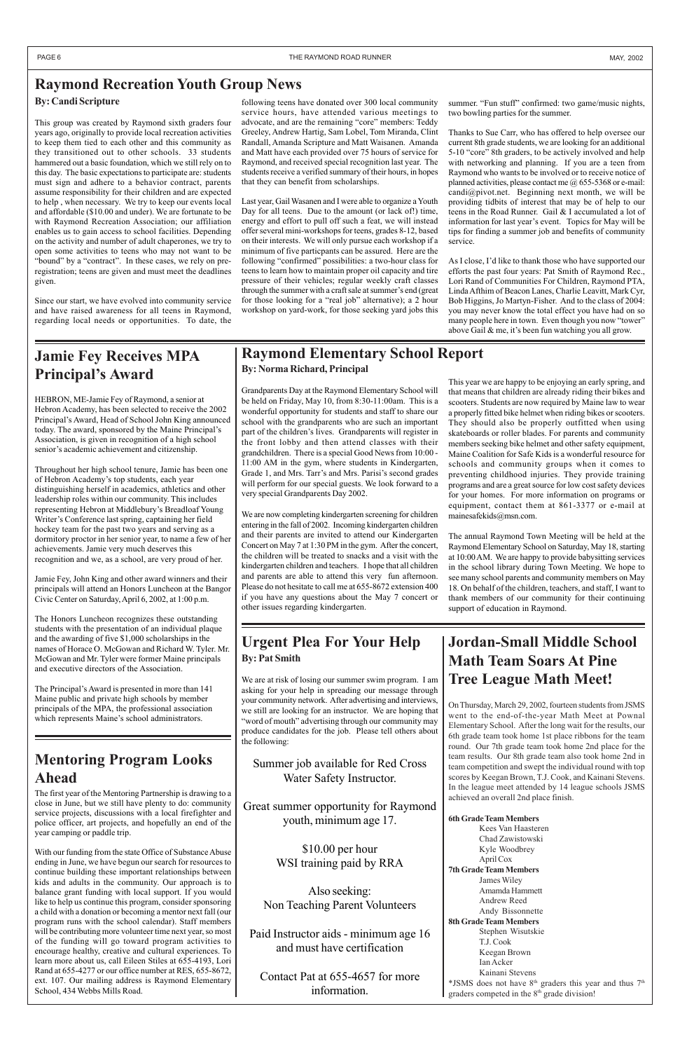# **Raymond Elementary School Report**

### **Urgent Plea For Your Help By: Pat Smith**

We are at risk of losing our summer swim program. I am asking for your help in spreading our message through your community network. After advertising and interviews, we still are looking for an instructor. We are hoping that "word of mouth" advertising through our community may produce candidates for the job. Please tell others about the following:

Summer job available for Red Cross

Water Safety Instructor.

Great summer opportunity for Raymond youth, minimum age 17.

> \$10.00 per hour WSI training paid by RRA

Also seeking: Non Teaching Parent Volunteers

Paid Instructor aids - minimum age 16 and must have certification

Contact Pat at 655-4657 for more information.

### **Raymond Recreation Youth Group News**

#### **By: Candi Scripture**

**6th Grade Team Members** Kees Van Haasteren Chad Zawistowski Kyle Woodbrey April Cox **7th Grade Team Members** James Wiley Amamda Hammett Andrew Reed Andy Bissonnette **8th Grade Team Members** Stephen Wisutskie T.J. Cook Keegan Brown Ian Acker Kainani Stevens \*JSMS does not have  $8<sup>th</sup>$  graders this year and thus  $7<sup>th</sup>$ graders competed in the 8<sup>th</sup> grade division!

This group was created by Raymond sixth graders four years ago, originally to provide local recreation activities to keep them tied to each other and this community as they transitioned out to other schools. 33 students hammered out a basic foundation, which we still rely on to this day. The basic expectations to participate are: students must sign and adhere to a behavior contract, parents assume responsibility for their children and are expected to help , when necessary. We try to keep our events local and affordable (\$10.00 and under). We are fortunate to be with Raymond Recreation Association; our affiliation enables us to gain access to school facilities. Depending on the activity and number of adult chaperones, we try to open some activities to teens who may not want to be "bound" by a "contract". In these cases, we rely on preregistration; teens are given and must meet the deadlines given.

Since our start, we have evolved into community service and have raised awareness for all teens in Raymond, regarding local needs or opportunities. To date, the

# **Jordan-Small Middle School Math Team Soars At Pine Tree League Math Meet!**

On Thursday, March 29, 2002, fourteen students from JSMS went to the end-of-the-year Math Meet at Pownal Elementary School. After the long wait for the results, our 6th grade team took home 1st place ribbons for the team round. Our 7th grade team took home 2nd place for the team results. Our 8th grade team also took home 2nd in team competition and swept the individual round with top

scores by Keegan Brown, T.J. Cook, and Kainani Stevens. In the league meet attended by 14 league schools JSMS achieved an overall 2nd place finish.

# **Mentoring Program Looks**

### **Ahead**

The first year of the Mentoring Partnership is drawing to a close in June, but we still have plenty to do: community service projects, discussions with a local firefighter and police officer, art projects, and hopefully an end of the year camping or paddle trip.

summer. "Fun stuff" confirmed: two game/music nights, two bowling parties for the summer.

With our funding from the state Office of Substance Abuse ending in June, we have begun our search for resources to continue building these important relationships between kids and adults in the community. Our approach is to balance grant funding with local support. If you would like to help us continue this program, consider sponsoring a child with a donation or becoming a mentor next fall (our program runs with the school calendar). Staff members will be contributing more volunteer time next year, so most of the funding will go toward program activities to encourage healthy, creative and cultural experiences. To learn more about us, call Eileen Stiles at 655-4193, Lori Rand at 655-4277 or our office number at RES, 655-8672, ext. 107. Our mailing address is Raymond Elementary School, 434 Webbs Mills Road.

# **Jamie Fey Receives MPA Principal's Award**

HEBRON, ME-Jamie Fey of Raymond, a senior at Hebron Academy, has been selected to receive the 2002 Principal's Award, Head of School John King announced today. The award, sponsored by the Maine Principal's Association, is given in recognition of a high school senior's academic achievement and citizenship.

Throughout her high school tenure, Jamie has been one of Hebron Academy's top students, each year distinguishing herself in academics, athletics and other leadership roles within our community. This includes representing Hebron at Middlebury's Breadloaf Young Writer's Conference last spring, captaining her field hockey team for the past two years and serving as a dormitory proctor in her senior year, to name a few of her achievements. Jamie very much deserves this recognition and we, as a school, are very proud of her.

Jamie Fey, John King and other award winners and their principals will attend an Honors Luncheon at the Bangor Civic Center on Saturday, April 6, 2002, at 1:00 p.m.

The Honors Luncheon recognizes these outstanding students with the presentation of an individual plaque and the awarding of five \$1,000 scholarships in the names of Horace O. McGowan and Richard W. Tyler. Mr. McGowan and Mr. Tyler were former Maine principals and executive directors of the Association.

The Principal's Award is presented in more than 141 Maine public and private high schools by member principals of the MPA, the professional association which represents Maine's school administrators.

following teens have donated over 300 local community service hours, have attended various meetings to advocate, and are the remaining "core" members: Teddy Greeley, Andrew Hartig, Sam Lobel, Tom Miranda, Clint Randall, Amanda Scripture and Matt Waisanen. Amanda and Matt have each provided over 75 hours of service for Raymond, and received special recognition last year. The students receive a verified summary of their hours, in hopes that they can benefit from scholarships.

Last year, Gail Wasanen and I were able to organize a Youth Day for all teens. Due to the amount (or lack of!) time, energy and effort to pull off such a feat, we will instead offer several mini-workshops for teens, grades 8-12, based on their interests. We will only pursue each workshop if a minimum of five particpants can be assured. Here are the following "confirmed" possibilities: a two-hour class for teens to learn how to maintain proper oil capacity and tire pressure of their vehicles; regular weekly craft classes through the summer with a craft sale at summer's end (great for those looking for a "real job" alternative); a 2 hour workshop on yard-work, for those seeking yard jobs this

Thanks to Sue Carr, who has offered to help oversee our current 8th grade students, we are looking for an additional 5-10 "core" 8th graders, to be actively involved and help with networking and planning. If you are a teen from Raymond who wants to be involved or to receive notice of planned activities, please contact me @ 655-5368 or e-mail: candi@pivot.net. Beginning next month, we will be providing tidbits of interest that may be of help to our teens in the Road Runner. Gail & I accumulated a lot of information for last year's event. Topics for May will be tips for finding a summer job and benefits of community service.

As I close, I'd like to thank those who have supported our efforts the past four years: Pat Smith of Raymond Rec., Lori Rand of Communities For Children, Raymond PTA, Linda Afthim of Beacon Lanes, Charlie Leavitt, Mark Cyr, Bob Higgins, Jo Martyn-Fisher. And to the class of 2004: you may never know the total effect you have had on so many people here in town. Even though you now "tower" above Gail & me, it's been fun watching you all grow.

**By: Norma Richard, Principal**

Grandparents Day at the Raymond Elementary School will be held on Friday, May 10, from 8:30-11:00am. This is a wonderful opportunity for students and staff to share our school with the grandparents who are such an important part of the children's lives. Grandparents will register in the front lobby and then attend classes with their grandchildren. There is a special Good News from 10:00 - 11:00 AM in the gym, where students in Kindergarten, Grade 1, and Mrs. Tarr's and Mrs. Parisi's second grades will perform for our special guests. We look forward to a very special Grandparents Day 2002.

We are now completing kindergarten screening for children entering in the fall of 2002. Incoming kindergarten children and their parents are invited to attend our Kindergarten Concert on May 7 at 1:30 PM in the gym. After the concert, the children will be treated to snacks and a visit with the kindergarten children and teachers. I hope that all children and parents are able to attend this very fun afternoon. Please do not hesitate to call me at 655-8672 extension 400 if you have any questions about the May 7 concert or other issues regarding kindergarten.

This year we are happy to be enjoying an early spring, and that means that children are already riding their bikes and scooters. Students are now required by Maine law to wear a properly fitted bike helmet when riding bikes or scooters. They should also be properly outfitted when using skateboards or roller blades. For parents and community members seeking bike helmet and other safety equipment, Maine Coalition for Safe Kids is a wonderful resource for schools and community groups when it comes to preventing childhood injuries. They provide training programs and are a great source for low cost safety devices for your homes. For more information on programs or equipment, contact them at 861-3377 or e-mail at mainesafekids@msn.com.

The annual Raymond Town Meeting will be held at the Raymond Elementary School on Saturday, May 18, starting at 10:00 AM. We are happy to provide babysitting services in the school library during Town Meeting. We hope to see many school parents and community members on May 18. On behalf of the children, teachers, and staff, I want to thank members of our community for their continuing support of education in Raymond.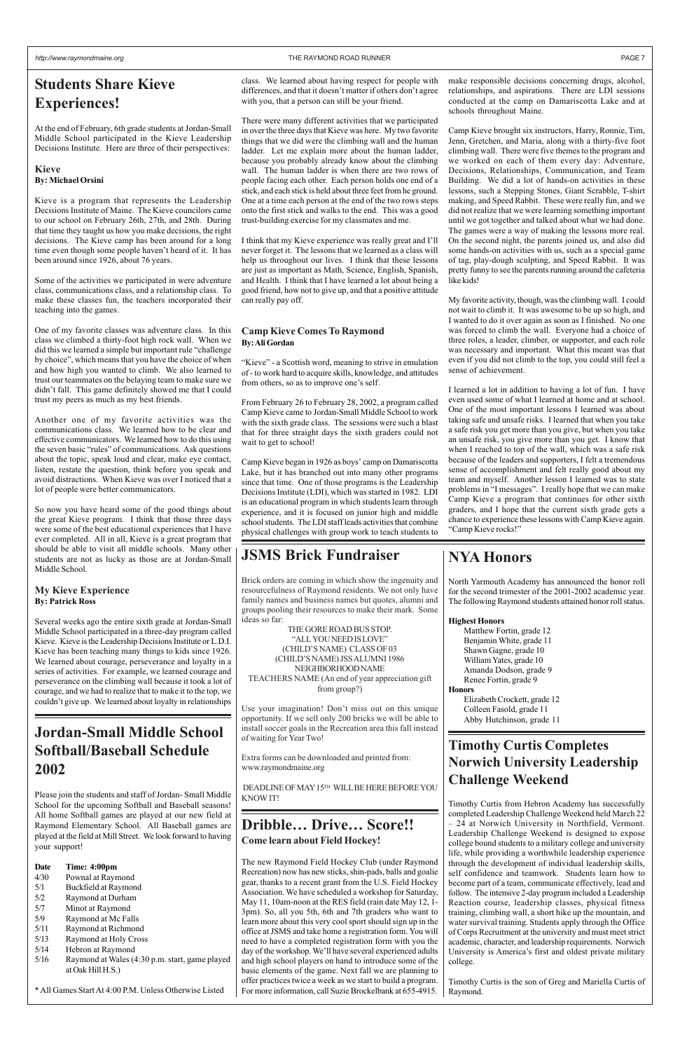# **Students Share Kieve Experiences!**

At the end of February, 6th grade students at Jordan-Small Middle School participated in the Kieve Leadership Decisions Institute. Here are three of their perspectives:

#### **Kieve By: Michael Orsini**

Kieve is a program that represents the Leadership Decisions Institute of Maine. The Kieve councilors came to our school on February 26th, 27th, and 28th. During that time they taught us how you make decisions, the right decisions. The Kieve camp has been around for a long time even though some people haven't heard of it. It has been around since 1926, about 76 years.

Some of the activities we participated in were adventure class, communications class, and a relationship class. To make these classes fun, the teachers incorporated their teaching into the games.

One of my favorite classes was adventure class. In this class we climbed a thirty-foot high rock wall. When we did this we learned a simple but important rule "challenge by choice", which means that you have the choice of when and how high you wanted to climb. We also learned to trust our teammates on the belaying team to make sure we didn't fall. This game definitely showed me that I could trust my peers as much as my best friends.

Another one of my favorite activities was the communications class. We learned how to be clear and effective communicators. We learned how to do this using the seven basic "rules" of communications. Ask questions about the topic, speak loud and clear, make eye contact, listen, restate the question, think before you speak and avoid distractions. When Kieve was over I noticed that a lot of people were better communicators.

So now you have heard some of the good things about the great Kieve program. I think that those three days were some of the best educational experiences that I have ever completed. All in all, Kieve is a great program that should be able to visit all middle schools. Many other students are not as lucky as those are at Jordan-Small Middle School.

From February 26 to February 28, 2002, a program called Camp Kieve came to Jordan-Small Middle School to work with the sixth grade class. The sessions were such a blast that for three straight days the sixth graders could not wait to get to school!

### **My Kieve Experience By: Patrick Ross**

Several weeks ago the entire sixth grade at Jordan-Small Middle School participated in a three-day program called Kieve. Kieve is the Leadership Decisions Institute or L.D.I. Kieve has been teaching many things to kids since 1926. We learned about courage, perseverance and loyalty in a series of activities. For example, we learned courage and perseverance on the climbing wall because it took a lot of courage, and we had to realize that to make it to the top, we couldn't give up. We learned about loyalty in relationships

class. We learned about having respect for people with differences, and that it doesn't matter if others don't agree with you, that a person can still be your friend.

There were many different activities that we participated in over the three days that Kieve was here. My two favorite things that we did were the climbing wall and the human ladder. Let me explain more about the human ladder, because you probably already know about the climbing wall. The human ladder is when there are two rows of people facing each other. Each person holds one end of a stick, and each stick is held about three feet from he ground. One at a time each person at the end of the two rows steps onto the first stick and walks to the end. This was a good trust-building exercise for my classmates and me.

I think that my Kieve experience was really great and I'll never forget it. The lessons that we learned as a class will help us throughout our lives. I think that these lessons are just as important as Math, Science, English, Spanish, and Health. I think that I have learned a lot about being a good friend, how not to give up, and that a positive attitude can really pay off.

#### **Camp Kieve Comes To Raymond By: Ali Gordan**

"Kieve" - a Scottish word, meaning to strive in emulation of - to work hard to acquire skills, knowledge, and attitudes from others, so as to improve one's self.

Camp Kieve began in 1926 as boys' camp on Damariscotta Lake, but it has branched out into many other programs since that time. One of those programs is the Leadership Decisions Institute (LDI), which was started in 1982. LDI is an educational program in which students learn through experience, and it is focused on junior high and middle school students. The LDI staff leads activities that combine physical challenges with group work to teach students to

make responsible decisions concerning drugs, alcohol, relationships, and aspirations. There are LDI sessions conducted at the camp on Damariscotta Lake and at schools throughout Maine.

Camp Kieve brought six instructors, Harry, Ronnie, Tim, Jenn, Gretchen, and Maria, along with a thirty-five foot climbing wall. There were five themes to the program and we worked on each of them every day: Adventure, Decisions, Relationships, Communication, and Team Building. We did a lot of hands-on activities in these lessons, such a Stepping Stones, Giant Scrabble, T-shirt making, and Speed Rabbit. These were really fun, and we did not realize that we were learning something important until we got together and talked about what we had done. The games were a way of making the lessons more real. On the second night, the parents joined us, and also did some hands-on activities with us, such as a special game of tag, play-dough sculpting, and Speed Rabbit. It was pretty funny to see the parents running around the cafeteria like kids!

My favorite activity, though, was the climbing wall. I could not wait to climb it. It was awesome to be up so high, and I wanted to do it over again as soon as I finished. No one was forced to climb the wall. Everyone had a choice of three roles, a leader, climber, or supporter, and each role was necessary and important. What this meant was that even if you did not climb to the top, you could still feel a sense of achievement.

I learned a lot in addition to having a lot of fun. I have even used some of what I learned at home and at school. One of the most important lessons I learned was about taking safe and unsafe risks. I learned that when you take a safe risk you get more than you give, but when you take an unsafe risk, you give more than you get. I know that when I reached to top of the wall, which was a safe risk because of the leaders and supporters, I felt a tremendous sense of accomplishment and felt really good about my team and myself. Another lesson I learned was to state problems in "I messages". I really hope that we can make Camp Kieve a program that continues for other sixth graders, and I hope that the current sixth grade gets a chance to experience these lessons with Camp Kieve again. "Camp Kieve rocks!"

### **Dribble… Drive… Score!! Come learn about Field Hockey!**

The new Raymond Field Hockey Club (under Raymond Recreation) now has new sticks, shin-pads, balls and goalie gear, thanks to a recent grant from the U.S. Field Hockey Association. We have scheduled a workshop for Saturday, May 11, 10am-noon at the RES field (rain date May 12, 1- 3pm). So, all you 5th, 6th and 7th graders who want to learn more about this very cool sport should sign up in the office at JSMS and take home a registration form. You will need to have a completed registration form with you the day of the workshop. We'll have several experienced adults and high school players on hand to introduce some of the basic elements of the game. Next fall we are planning to offer practices twice a week as we start to build a program. For more information, call Suzie Brockelbank at 655-4915.

# **Jordan-Small Middle School Softball/Baseball Schedule 2002**

Please join the students and staff of Jordan- Small Middle School for the upcoming Softball and Baseball seasons! All home Softball games are played at our new field at Raymond Elementary School. All Baseball games are played at the field at Mill Street. We look forward to having your support!

#### **Date Time: 4:00pm** 4/30 Pownal at Raymond 5/1 Buckfield at Raymond 5/2 Raymond at Durham 5/7 Minot at Raymond 5/9 Raymond at Mc Falls 5/11 Raymond at Richmond 5/13 Raymond at Holy Cross 5/14 Hebron at Raymond 5/16 Raymond at Wales (4:30 p.m. start, game played at Oak Hill H.S.) \* All Games Start At 4:00 P.M. Unless Otherwise Listed

### **JSMS Brick Fundraiser**

Brick orders are coming in which show the ingenuity and resourcefulness of Raymond residents. We not only have family names and business names but quotes, alumni and groups pooling their resources to make their mark. Some ideas so far:

THE GORE ROAD BUS STOP. "ALL YOU NEED IS LOVE" (CHILD'S NAME) CLASS OF 03 (CHILD'S NAME) JSS ALUMNI 1986 NEIGHBORHOOD NAME TEACHERS NAME (An end of year appreciation gift

from group?)

Use your imagination! Don't miss out on this unique opportunity. If we sell only 200 bricks we will be able to install soccer goals in the Recreation area this fall instead of waiting for Year Two!

Extra forms can be downloaded and printed from: www.raymondmaine.org

 DEADLINE OF MAY 15TH WILL BE HERE BEFORE YOU KNOW IT!

# **NYA Honors**

North Yarmouth Academy has announced the honor roll for the second trimester of the 2001-2002 academic year. The following Raymond students attained honor roll status.

#### **Highest Honors**

Matthew Fortin, grade 12 Benjamin White, grade 11 Shawn Gagne, grade 10 William Yates, grade 10 Amanda Dodson, grade 9 Renee Fortin, grade 9 **Honors**

Elizabeth Crockett, grade 12 Colleen Fasold, grade 11 Abby Hutchinson, grade 11

### **Timothy Curtis Completes Norwich University Leadership**

### **Challenge Weekend**

Timothy Curtis from Hebron Academy has successfully completed Leadership Challenge Weekend held March 22 – 24 at Norwich University in Northfield, Vermont. Leadership Challenge Weekend is designed to expose college bound students to a military college and university life, while providing a worthwhile leadership experience through the development of individual leadership skills, self confidence and teamwork. Students learn how to become part of a team, communicate effectively, lead and follow. The intensive 2-day program included a Leadership Reaction course, leadership classes, physical fitness training, climbing wall, a short hike up the mountain, and water survival training. Students apply through the Office of Corps Recruitment at the university and must meet strict academic, character, and leadership requirements. Norwich University is America's first and oldest private military college.

Timothy Curtis is the son of Greg and Mariella Curtis of Raymond.